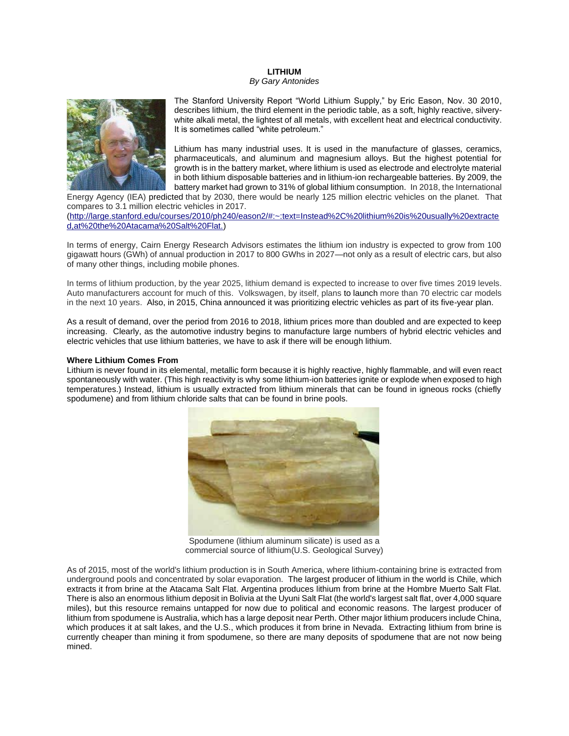## **LITHIUM**

#### *By Gary Antonides*



The Stanford University Report "World Lithium Supply," by Eric Eason, Nov. 30 2010, describes lithium, the third element in the periodic table, as a soft, highly reactive, silverywhite alkali metal, the lightest of all metals, with excellent heat and electrical conductivity. It is sometimes called "white petroleum."

Lithium has many industrial uses. It is used in the manufacture of glasses, ceramics, pharmaceuticals, and aluminum and magnesium alloys. But the highest potential for growth is in the battery market, where lithium is used as electrode and electrolyte material in both lithium disposable batteries and in lithium-ion rechargeable batteries. By 2009, the battery market had grown to 31% of global lithium consumption. In 2018, the International

Energy Agency (IEA) [predicted](https://www.cnbc.com/2018/05/30/electric-vehicles-will-grow-from-3-million-to-125-million-by-2030-iea.html) that by 2030, there would be nearly 125 million electric vehicles on the planet. That compares to 3.1 million electric vehicles in 2017. [\(http://large.stanford.edu/courses/2010/ph240/eason2/#:~:text=Instead%2C%20lithium%20is%20usually%20extracte](http://large.stanford.edu/courses/2010/ph240/eason2/#:~:text=Instead%2C%20lithium%20is%20usually%20extracted,at%20the%20Atacama%20Salt%20Flat.) [d,at%20the%20Atacama%20Salt%20Flat.\)](http://large.stanford.edu/courses/2010/ph240/eason2/#:~:text=Instead%2C%20lithium%20is%20usually%20extracted,at%20the%20Atacama%20Salt%20Flat.)

In terms of energy, Cairn Energy Research Advisors estimates the lithium ion industry is expected to grow from 100 gigawatt hours (GWh) of annual production in 2017 to 800 GWhs in 2027—not only as a result of electric cars, but also of many other things, including mobile phones.

In terms of lithium production, by the year 2025, lithium demand is expected to increase to over five times 2019 levels. Auto manufacturers account for much of this. Volkswagen, by itself, plans to [launch](https://www.volkswagen-newsroom.com/en/press-releases/volkswagen-plans-22-million-electric-vehicles-in-ten-years-4750) more than 70 electric car models in the next 10 years. Also, in 2015, China announced it was prioritizing electric vehicles as part of its five-year plan.

As a result of demand, over the period from 2016 to 2018, lithium prices more than doubled and are expected to keep increasing. Clearly, as the automotive industry begins to manufacture large numbers of hybrid electric vehicles and electric vehicles that use lithium batteries, we have to ask if there will be enough lithium.

#### **Where Lithium Comes From**

Lithium is never found in its elemental, metallic form because it is highly reactive, highly flammable, and will even react spontaneously with water. (This high reactivity is why some lithium-ion batteries ignite or explode when exposed to high temperatures.) Instead, lithium is usually extracted from lithium minerals that can be found in igneous rocks (chiefly spodumene) and from lithium chloride salts that can be found in brine pools.



Spodumene (lithium aluminum silicate) is used as a commercial source of lithium(U.S. Geological Survey)

As of 2015, most of the world's lithium production is in South America, where lithium-containing brine is extracted from underground pools and concentrated by solar evaporation. The largest producer of lithium in the world is Chile, which extracts it from brine at the Atacama Salt Flat. Argentina produces lithium from brine at the Hombre Muerto Salt Flat. There is also an enormous lithium deposit in Bolivia at the Uyuni Salt Flat (the world's largest salt flat, over 4,000 square miles), but this resource remains untapped for now due to political and economic reasons. The largest producer of lithium from spodumene is Australia, which has a large deposit near Perth. Other major lithium producers include China, which produces it at salt lakes, and the U.S., which produces it from brine in Nevada. Extracting lithium from brine is currently cheaper than mining it from spodumene, so there are many deposits of spodumene that are not now being mined.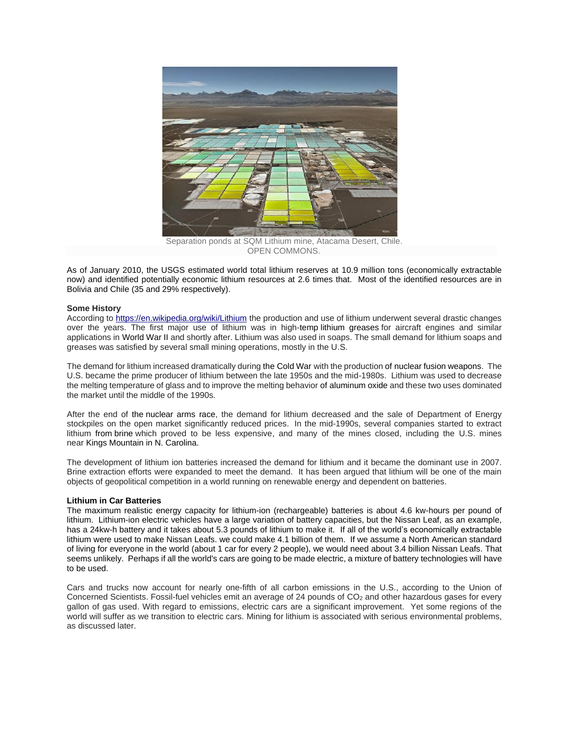

OPEN COMMONS.

As of January 2010, the USGS estimated world total lithium reserves at 10.9 million tons (economically extractable now) and identified potentially economic lithium resources at 2.6 times that. Most of the identified resources are in Bolivia and Chile (35 and 29% respectively).

## **Some History**

According t[o https://en.wikipedia.org/wiki/Lithium](https://en.wikipedia.org/wiki/Lithium) the production and use of lithium underwent several drastic changes over the years. The first major use of lithium was in high-temp [lithium greases](https://en.wikipedia.org/wiki/Lithium_grease) for aircraft engines and similar applications in [World War II](https://en.wikipedia.org/wiki/World_War_II) and shortly after. Lithium was also used in soaps. The small demand for lithium soaps and greases was satisfied by several small mining operations, mostly in the U.S.

The demand for lithium increased dramatically during the [Cold War](https://en.wikipedia.org/wiki/Cold_War) with the production of [nuclear fusion weapons.](https://en.wikipedia.org/wiki/Nuclear_weapon_design) The U.S. became the prime producer of lithium between the late 1950s and the mid-1980s. Lithium was used to decrease the melting temperature of glass and to improve the melting behavior of [aluminum oxide](https://en.wikipedia.org/wiki/Aluminium_oxide) and these two uses dominated the market until the middle of the 1990s.

After the end of the [nuclear arms race,](https://en.wikipedia.org/wiki/Nuclear_arms_race) the demand for lithium decreased and the sale of Department of Energy stockpiles on the open market significantly reduced prices. In the mid-1990s, several companies started to extract lithium from [brine](https://en.wikipedia.org/wiki/Brine) which proved to be less expensive, and many of the mines closed, including the U.S. mines near [Kings Mountain](https://en.wikipedia.org/wiki/Kings_Mountain,_North_Carolina) in N. Carolina.

The development of lithium ion batteries increased the demand for lithium and it became the dominant use in 2007. Brine extraction efforts were expanded to meet the demand. It has been argued that lithium will be one of the main objects of geopolitical competition in a world running on renewable energy and dependent on batteries.

# **Lithium in Car Batteries**

The maximum realistic energy capacity for lithium-ion (rechargeable) batteries is about 4.6 kw-hours per pound of lithium. Lithium-ion electric vehicles have a large variation of battery capacities, but the Nissan Leaf, as an example, has a 24kw-h battery and it takes about 5.3 pounds of lithium to make it. If all of the world's economically extractable lithium were used to make Nissan Leafs. we could make 4.1 billion of them. If we assume a North American standard of living for everyone in the world (about 1 car for every 2 people), we would need about 3.4 billion Nissan Leafs. That seems unlikely. Perhaps if all the world's cars are going to be made electric, a mixture of battery technologies will have to be used.

Cars and trucks now account for nearly one-fifth of all carbon emissions in the U.S., according to the Union of Concerned Scientists. Fossil-fuel vehicles emit an average of 24 pounds of CO<sub>2</sub> and other hazardous gases for every gallon of gas used. With regard to emissions, electric cars are a significant improvement. Yet some regions of the world will suffer as we transition to electric cars. Mining for lithium is associated with serious environmental problems, as discussed later.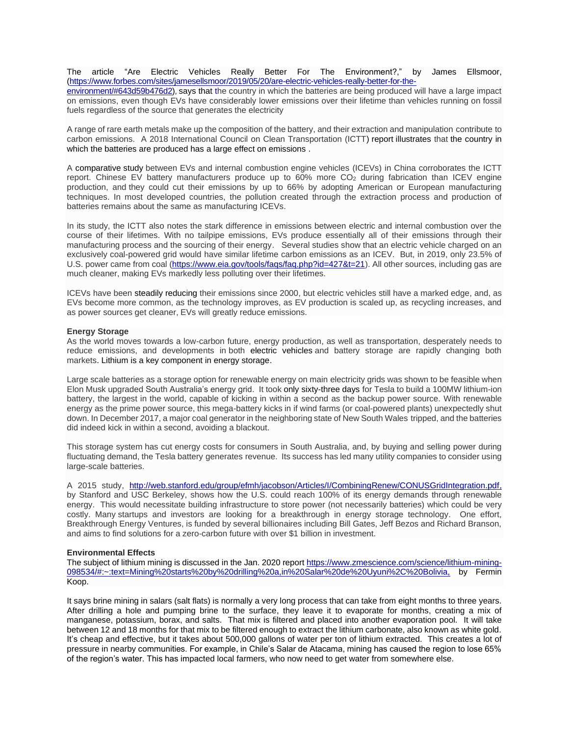The article "Are Electric Vehicles Really Better For The Environment?," by James Ellsmoor, [\(https://www.forbes.com/sites/jamesellsmoor/2019/05/20/are-electric-vehicles-really-better-for-the-](https://www.forbes.com/sites/jamesellsmoor/2019/05/20/are-electric-vehicles-really-better-for-the-environment/#643d59b476d2)

[environment/#643d59b476d2\)](https://www.forbes.com/sites/jamesellsmoor/2019/05/20/are-electric-vehicles-really-better-for-the-environment/#643d59b476d2), says that [the country in which the batteries are being produced will have a large impact](https://twitter.com/intent/tweet?url=http%3A%2F%2Fwww.forbes.com%2Fsites%2Fjamesellsmoor%2F2019%2F05%2F20%2Fare-electric-vehicles-really-better-for-the-environment%2F%3FsubId3%3Dxid%3Afr1598729640784aha&text=The%20country%20the%20batteries%20are%20produced%20in%20and%20their%20composition%C2%A0has%20a%20higher%20level%20of%20impact%20on%20emission%20production&xid=fr1598729640784aha)  [on emissions,](https://twitter.com/intent/tweet?url=http%3A%2F%2Fwww.forbes.com%2Fsites%2Fjamesellsmoor%2F2019%2F05%2F20%2Fare-electric-vehicles-really-better-for-the-environment%2F%3FsubId3%3Dxid%3Afr1598729640784aha&text=The%20country%20the%20batteries%20are%20produced%20in%20and%20their%20composition%C2%A0has%20a%20higher%20level%20of%20impact%20on%20emission%20production&xid=fr1598729640784aha) even though EVs have [considerably lower emissions over their lifetime than vehicles](https://twitter.com/intent/tweet?url=http%3A%2F%2Fwww.forbes.com%2Fsites%2Fjamesellsmoor%2F2019%2F05%2F20%2Fare-electric-vehicles-really-better-for-the-environment%2F%3FsubId3%3Dxid%3Afr1598729640785dib&text=EVs%20are%20responsible%20for%20lower%20emissions%20over%20their%20lifetime%2C%20regardless%20of%20the%20electricity%20generation%20source&xid=fr1598729640785dib) running on fossil [fuels regardless of the source that generates the electricity](https://twitter.com/intent/tweet?url=http%3A%2F%2Fwww.forbes.com%2Fsites%2Fjamesellsmoor%2F2019%2F05%2F20%2Fare-electric-vehicles-really-better-for-the-environment%2F%3FsubId3%3Dxid%3Afr1598729640785dib&text=EVs%20are%20responsible%20for%20lower%20emissions%20over%20their%20lifetime%2C%20regardless%20of%20the%20electricity%20generation%20source&xid=fr1598729640785dib)

A range of rare earth metals make up the composition of the battery, and their extraction and manipulation contribute to carbon emissions. A 2018 International Council on Clean Transportation (ICTT) [report](https://www.theicct.org/sites/default/files/publications/EV-life-cycle-GHG_ICCT-Briefing_09022018_vF.pdf) illustrates that [the country in](https://twitter.com/intent/tweet?url=http%3A%2F%2Fwww.forbes.com%2Fsites%2Fjamesellsmoor%2F2019%2F05%2F20%2Fare-electric-vehicles-really-better-for-the-environment%2F%3FsubId3%3Dxid%3Afr1598729640785eff&text=The%20country%20the%20batteries%20are%20produced%20in%20and%20their%20composition%C2%A0has%20a%20higher%20level%20of%20impact%20on%20emission%20production&xid=fr1598729640785eff)  [which the batteries are produced has a large](https://twitter.com/intent/tweet?url=http%3A%2F%2Fwww.forbes.com%2Fsites%2Fjamesellsmoor%2F2019%2F05%2F20%2Fare-electric-vehicles-really-better-for-the-environment%2F%3FsubId3%3Dxid%3Afr1598729640785eff&text=The%20country%20the%20batteries%20are%20produced%20in%20and%20their%20composition%C2%A0has%20a%20higher%20level%20of%20impact%20on%20emission%20production&xid=fr1598729640785eff) effect on emissions .

A comparative [study](https://pdf.sciencedirectassets.com/277910/1-s2.0-S1876610217X00076/1-s2.0-S1876610217309049/main.pdf?x-amz-security-token=AgoJb3JpZ2luX2VjENv%2F%2F%2F%2F%2F%2F%2F%2F%2F%2FwEaCXVzLWVhc3QtMSJGMEQCIHumPW5WryqjhyKFxJucSRAjMNTVDIMn2Anqz2MqTpSWAiBQdyRnJ1ddbDzGv2mBnRKO%2Fegri2DqjhEV0p70kOzULyrjAwjU%2F%2F%2F%2F%2F%2F%2F%2F%2F%2F8BEAIaDDA1OTAwMzU0Njg2NSIM8fL78FnnEuiFdWFiKrcDpfeXIn3GZKr7AkiNdXmN%2BlQ821oZGml4lvetnKiySAXeF1C03gZEBR7x%2FjL6buPMk8F2DRq6uH1Lbpw34dBM01Ds9mIa38hhO2QiufscZPEnmiID7OjbgRJSYW0j8FdUbXkgiopn1ayxF7XSpIcDHRJuU6mvJwIkveY9WNydyOy2at0K6DVgopvM7LYIplLKh5jSngX%2B66JkNoe6%2BdnpuIwVLKMkqvb1jv6CHte9uQw%2FaRAmbmuywTRExkAaizFDbvCbRTP%2Ffo99At3v%2F8%2FtmM5RHpwYZwDiv1ux%2Bti1ZbMBy6s6m2HBf%2FupEUpxVo0PfzC0Mmqdmj5Aso3tKZB7wxebpBEyCkyIZeHetRN1UubDHFWIDI7c5K4Ra4VH1rQDm58GEZAndTTUcr1iyKO1Xv%2B4awAoAQWMxy0ZfaCwx4932jepzxzF32RDZOEBmOWTRSqpoPOIVWPyEzTYyqy2DjzAQ7cE2Qxnprzk51%2Fa7MYzkbNDe7S8XoDDdXKRAR4AmBAArBOfeTnCx8fmOmU3HLaI%2B4QCZJ7gu4bhDQ9o61I5iy24xS5Z1P7hNLA4Dh57J61lomjIQDC1sermBTq1Ad2pdugZVPsYl8Eq%2BzwSyXgkDnGhHfqHhyhKLAqCQotFKnYgWGgRX8pAyBIWT2TJwWFDPX%2F3mdm3pWETRAwIyydrkVBls8wb4SWLoB5FzFgDFGOnYMZH9huEuimeWWyR5D%2FDOclBgM3BjKkAW8dz8PByi5bFioMii8wL%2FPuwDjF%2FRMjlPzH7Oz2tXyDVoN1QriX%2B5B6nrYzAvXmzejey54H7KdHYVbrIKrvcsSSi%2Fz%2B94%2BhRK2w%3D&AWSAccessKeyId=ASIAQ3PHCVTYSQVHZQJW&Expires=1557833427&Signature=396ZfZr9QNtRvL8Ejw4D2ENu%2Fis%3D&hash=3e3110e9156c0639ab93c27581f34d4ae92bd1a8ad3fc8bb62d350ab7ec310aa&host=68042c943591013ac2b2430a89b270f6af2c76d8dfd086a07176afe7c76c2c61&pii=S1876610217309049&tid=spdf-bfbddb38-1a9a-4bbb-b90c-8c3b28cb1618&sid=24bc4bd72b8b0946f698dcd31faee00cda34gxrqb&type=client) between EVs and internal combustion engine vehicles (ICEVs) in China corroborates the ICTT report. Chinese EV battery manufacturers produce up to 60% more CO<sub>2</sub> during fabrication than ICEV engine production, and they could cut their emissions by up to 66% by adopting American or European manufacturing techniques. In most developed countries, the pollution created through the extraction process and production of batteries remains about the same as manufacturing ICEVs.

In its study, the ICTT also notes the stark difference in emissions between electric and internal combustion over the course of their lifetimes. With no tailpipe emissions, EVs produce essentially all of their emissions through their manufacturing process and the sourcing of their energy. Several studies show that an electric vehicle charged on an exclusively coal-powered grid would have similar lifetime carbon emissions as an ICEV. But, in 2019, only 23.5% of U.S. power came from coal [\(https://www.eia.gov/tools/faqs/faq.php?id=427&t=21\)](https://www.eia.gov/tools/faqs/faq.php?id=427&t=21). All other sources, including gas are much cleaner, making EVs markedly less polluting over their lifetimes.

ICEVs have been steadily [reducing](https://www.smmt.co.uk/reports/co2-report/) their emissions since 2000, but electric vehicles still have a marked edge, and, as EVs become more common, as the technology improves, as EV production is scaled up, as recycling increases, and as power sources get cleaner, EVs will greatly reduce emissions.

## **Energy Storage**

As the world moves towards a low-carbon future, energy production, as well as transportation, desperately needs to reduce emissions, and developments in both [electric vehicles](https://www.forbes.com/sites/jamesellsmoor/2019/05/20/are-electric-vehicles-really-better-for-the-environment/) and battery storage are rapidly changing both markets. Lithium is [a key component in energy storage.](https://twitter.com/intent/tweet?url=http%3A%2F%2Fwww.forbes.com%2Fsites%2Fjamesellsmoor%2F2019%2F06%2F10%2Felectric-vehicles-are-driving-demand-for-lithium-with-environmental-consequences%2F%3FsubId3%3Dxid%3Afr1598384576819fcj&text=Lithium%2C%20often%20called%20%22white%20petroleum%22%2C%20is%20a%20key%20component%20in%20storage%20%26%20in%20demand%20has%20skyrocketed%20-%20%40jellsmoor&xid=fr1598384576819fcj)

Large scale batteries as a storage option for renewable energy on main electricity grids was shown to be feasible when Elon Musk upgraded South Australia's energy grid. It took only [sixty-three days](https://www.theverge.com/2017/12/1/16723186/elon-musk-battery-launched-south-australia) for Tesla to build a 100MW lithium-ion battery, the largest in the world, capable of kicking in within a second as the backup power source. With renewable energy as the prime power source, this mega-battery kicks in if wind farms (or coal-powered plants) unexpectedly shut down. In December 2017, a major coal generator in the neighboring state of New South Wales tripped, and the batteries did indeed kick in within a second, avoiding a blackout.

This storage system has cut energy costs for consumers in South Australia, and, by buying and selling power during fluctuating demand, the Tesla battery generates revenue. Its success has led many utility companies to consider using large-scale batteries.

A 2015 study, [http://web.stanford.edu/group/efmh/jacobson/Articles/I/CombiningRenew/CONUSGridIntegration.pdf,](http://web.stanford.edu/group/efmh/jacobson/Articles/I/CombiningRenew/CONUSGridIntegration.pdf) by Stanford and USC Berkeley, shows how the U.S. could reach 100% of its energy demands through renewable energy. This would necessitate building infrastructure to store power (not necessarily batteries) which could be very costly. Many startups and investors are looking for a breakthrough in energy storage technology. One effort, Breakthrough Energy Ventures, is funded by several billionaires including Bill Gates, Jeff Bezos and Richard Branson, and aims to find solutions for a zero-carbon future with over \$1 billion in investment.

#### **Environmental Effects**

The subject of lithium mining is discussed in the Jan. 2020 report [https://www.zmescience.com/science/lithium-mining-](https://www.zmescience.com/science/lithium-mining-098534/#:~:text=Mining%20starts%20by%20drilling%20a,in%20Salar%20de%20Uyuni%2C%20Bolivia,)[098534/#:~:text=Mining%20starts%20by%20drilling%20a,in%20Salar%20de%20Uyuni%2C%20Bolivia,](https://www.zmescience.com/science/lithium-mining-098534/#:~:text=Mining%20starts%20by%20drilling%20a,in%20Salar%20de%20Uyuni%2C%20Bolivia,) by Fermin Koop.

It says brine mining in salars (salt flats) is normally a very long process that can take from eight months to three years. After drilling a hole and pumping brine to the surface, they leave it to evaporate for months, creating a mix of manganese, potassium, borax, and salts. That mix is filtered and placed into another evaporation pool. It will take between 12 and 18 months for that mix to be filtered enough to extract the lithium carbonate, also known as white gold. It's cheap and effective, but it takes about 500,000 gallons of water per ton of lithium extracted. This creates a lot of pressure in nearby communities. For example, in Chile's Salar de Atacama, mining has caused the region to lose 65% of the region's water. This has impacted local farmers, who now need to get water from somewhere else.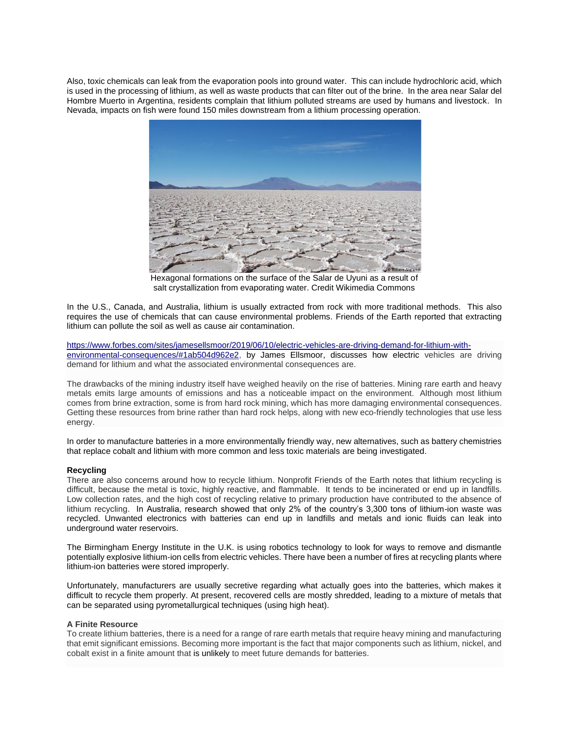Also, toxic chemicals can leak from the evaporation pools into ground water. This can include hydrochloric acid, which is used in the processing of lithium, as well as waste products that can filter out of the brine. In the area near Salar del Hombre Muerto in Argentina, residents complain that lithium polluted streams are used by humans and livestock. In Nevada, impacts on fish were found 150 miles downstream from a lithium processing operation.



Hexagonal formations on the surface of the Salar de Uyuni as a result of salt crystallization from evaporating water. Credit Wikimedia Commons

In the U.S., Canada, and Australia, lithium is usually extracted from rock with more traditional methods. This also requires the use of chemicals that can cause environmental problems. Friends of the Earth reported that extracting lithium can pollute the soil as well as cause air contamination.

[https://www.forbes.com/sites/jamesellsmoor/2019/06/10/electric-vehicles-are-driving-demand-for-lithium-with](https://www.forbes.com/sites/jamesellsmoor/2019/06/10/electric-vehicles-are-driving-demand-for-lithium-with-environmental-consequences/#1ab504d962e2)[environmental-consequences/#1ab504d962e2,](https://www.forbes.com/sites/jamesellsmoor/2019/06/10/electric-vehicles-are-driving-demand-for-lithium-with-environmental-consequences/#1ab504d962e2) by [James Ellsmoor,](https://www.forbes.com/sites/jamesellsmoor/) discusses how electric vehicles are driving demand for lithium and what the associated environmental consequences are.

The drawbacks of the mining industry itself have weighed heavily on the rise of batteries. Mining rare earth and heavy metals emits large amounts of emissions and has a noticeable impact on the environment. Although most lithium comes from brine extraction, some is from hard rock mining, which has more damaging environmental consequences. Getting these resources from brine rather than hard rock helps, along with new eco-friendly technologies that use less energy.

In order to manufacture batteries in a more environmentally friendly way, new alternatives, such as battery chemistries that replace cobalt and lithium with more common and less toxic materials are being investigated.

# **Recycling**

There are also concerns around how to recycle lithium. Nonprofit Friends of the Earth notes that lithium recycling is difficult, because the metal is toxic, highly reactive, and flammable. It tends to be incinerated or end up in landfills. Low collection rates, and the high cost of recycling relative to primary production have contributed to the absence of lithium recycling. In Australia, research showed that only 2% of the country's 3,300 tons of lithium-ion waste was recycled. Unwanted electronics with batteries can end up in landfills and metals and ionic fluids can leak into underground water reservoirs.

The Birmingham Energy Institute in the U.K. is using robotics technology to look for ways to remove and dismantle potentially explosive lithium-ion cells from electric vehicles. There have been a number of fires at recycling plants where lithium-ion batteries were stored improperly.

Unfortunately, manufacturers are usually secretive regarding what actually goes into the batteries, which makes it difficult to recycle them properly. At present, recovered cells are mostly shredded, leading to a mixture of metals that can be separated using pyrometallurgical techniques (using high heat).

## **A Finite Resource**

To create lithium batteries, there is a need for a range of rare earth metals that require heavy mining and manufacturing that emit significant emissions. Becoming more important is the fact that major components such as lithium, nickel, and cobalt exist in a finite amount that is [unlikely](https://www.uts.edu.au/research-and-teaching/our-research/institute-sustainable-futures/our-research/resource-futures/responsible-minerals-for-renewable-energy) to meet future demands for batteries.